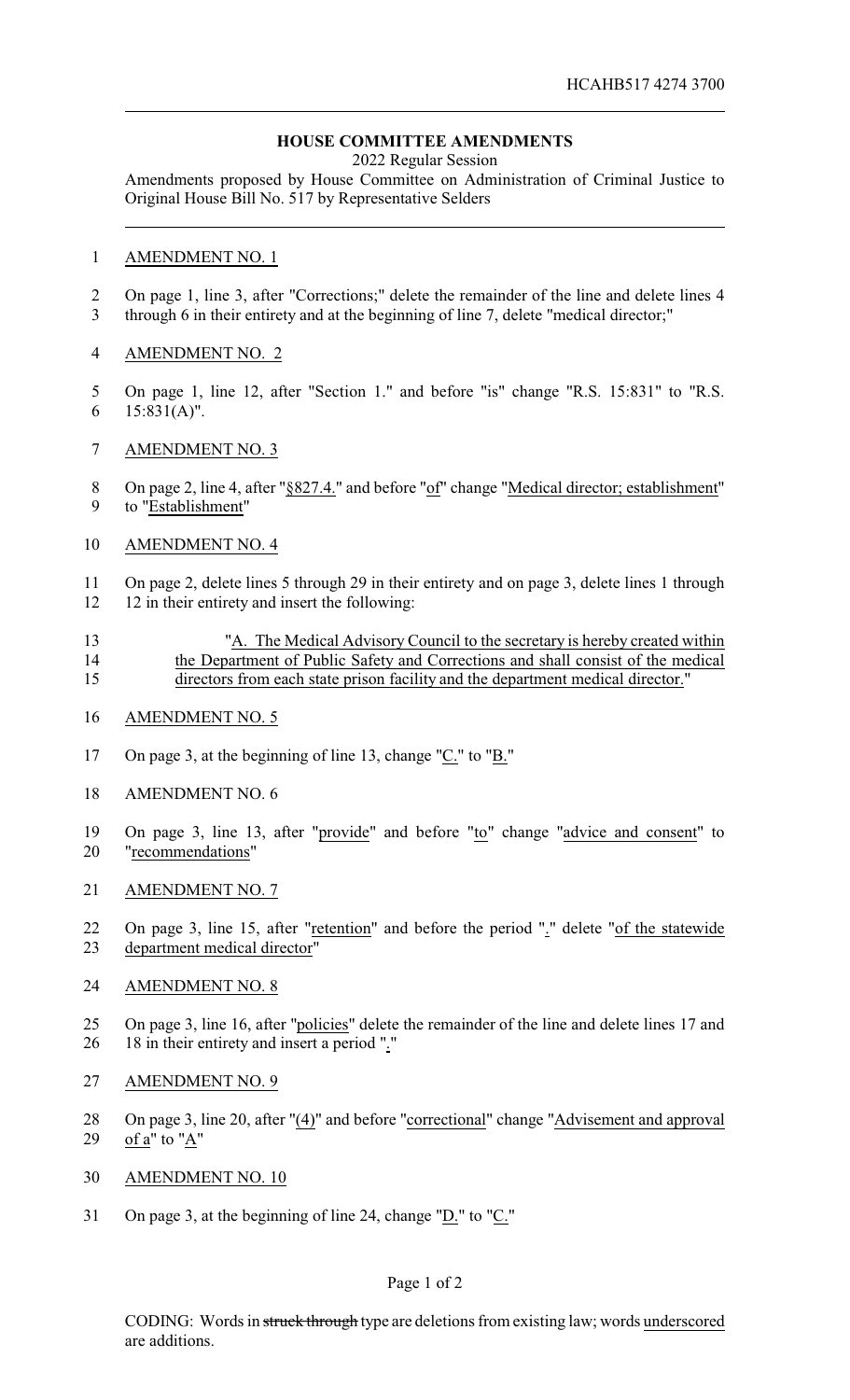# **HOUSE COMMITTEE AMENDMENTS**

2022 Regular Session

Amendments proposed by House Committee on Administration of Criminal Justice to Original House Bill No. 517 by Representative Selders

### AMENDMENT NO. 1

 On page 1, line 3, after "Corrections;" delete the remainder of the line and delete lines 4 through 6 in their entirety and at the beginning of line 7, delete "medical director;"

## AMENDMENT NO. 2

- On page 1, line 12, after "Section 1." and before "is" change "R.S. 15:831" to "R.S. 15:831(A)".
- AMENDMENT NO. 3
- 8 On page 2, line 4, after "§827.4." and before "of" change "Medical director; establishment" to "Establishment"

### AMENDMENT NO. 4

 On page 2, delete lines 5 through 29 in their entirety and on page 3, delete lines 1 through 12 12 in their entirety and insert the following:

- "A. The Medical Advisory Council to the secretary is hereby created within the Department of Public Safety and Corrections and shall consist of the medical directors from each state prison facility and the department medical director."
- AMENDMENT NO. 5
- On page 3, at the beginning of line 13, change "C." to "B."
- AMENDMENT NO. 6
- On page 3, line 13, after "provide" and before "to" change "advice and consent" to "recommendations"
- AMENDMENT NO. 7
- On page 3, line 15, after "retention" and before the period "." delete "of the statewide department medical director"

#### AMENDMENT NO. 8

- On page 3, line 16, after "policies" delete the remainder of the line and delete lines 17 and 18 in their entirety and insert a period "."
- AMENDMENT NO. 9
- On page 3, line 20, after "(4)" and before "correctional" change "Advisement and approval 29 of  $a''$  to " $A''$
- AMENDMENT NO. 10
- On page 3, at the beginning of line 24, change "D." to "C."

## Page 1 of 2

CODING: Words in struck through type are deletions from existing law; words underscored are additions.